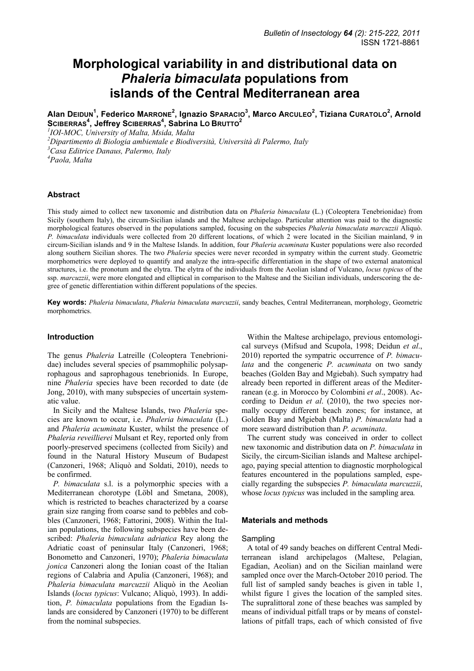# **Morphological variability in and distributional data on**  *Phaleria bimaculata* **populations from islands of the Central Mediterranean area**

**Alan DEIDUN<sup>1</sup> , Federico MARRONE<sup>2</sup> , Ignazio SPARACIO<sup>3</sup> , Marco ARCULEO<sup>2</sup> , Tiziana CURATOLO<sup>2</sup> , Arnold SCIBERRAS<sup>4</sup> , Jeffrey SCIBERRAS<sup>4</sup> , Sabrina LO BRUTTO2**

*1 IOI-MOC, University of Malta, Msida, Malta* 

*2 Dipartimento di Biologia ambientale e Biodiversità, Università di Palermo, Italy 3 Casa Editrice Danaus, Palermo, Italy* 

*4 Paola, Malta* 

# **Abstract**

This study aimed to collect new taxonomic and distribution data on *Phaleria bimaculata* (L.) (Coleoptera Tenebrionidae) from Sicily (southern Italy), the circum-Sicilian islands and the Maltese archipelago. Particular attention was paid to the diagnostic morphological features observed in the populations sampled, focusing on the subspecies *Phaleria bimaculata marcuzzii* Aliquò. *P. bimaculata* individuals were collected from 20 different locations, of which 2 were located in the Sicilian mainland, 9 in circum-Sicilian islands and 9 in the Maltese Islands. In addition, four *Phaleria acuminata* Kuster populations were also recorded along southern Sicilian shores. The two *Phaleria* species were never recorded in sympatry within the current study. Geometric morphometrics were deployed to quantify and analyze the intra-specific differentiation in the shape of two external anatomical structures, i.e. the pronotum and the elytra. The elytra of the individuals from the Aeolian island of Vulcano, *locus typicus* of the ssp. *marcuzzii*, were more elongated and elliptical in comparison to the Maltese and the Sicilian individuals, underscoring the degree of genetic differentiation within different populations of the species.

**Key words:** *Phaleria bimaculata*, *Phaleria bimaculata marcuzzii*, sandy beaches, Central Mediterranean, morphology, Geometric morphometrics.

# **Introduction**

The genus *Phaleria* Latreille (Coleoptera Tenebrionidae) includes several species of psammophilic polysaprophagous and saprophagous tenebrionids. In Europe, nine *Phaleria* species have been recorded to date (de Jong, 2010), with many subspecies of uncertain systematic value.

In Sicily and the Maltese Islands, two *Phaleria* species are known to occur, i.e. *Phaleria bimaculata* (L.) and *Phaleria acuminata* Kuster, whilst the presence of *Phaleria reveillierei* Mulsant et Rey, reported only from poorly-preserved specimens (collected from Sicily) and found in the Natural History Museum of Budapest (Canzoneri, 1968; Aliquò and Soldati, 2010), needs to be confirmed.

*P. bimaculata* s.l. is a polymorphic species with a Mediterranean chorotype (Löbl and Smetana, 2008), which is restricted to beaches characterized by a coarse grain size ranging from coarse sand to pebbles and cobbles (Canzoneri, 1968; Fattorini, 2008). Within the Italian populations, the following subspecies have been described: *Phaleria bimaculata adriatica* Rey along the Adriatic coast of peninsular Italy (Canzoneri, 1968; Bonometto and Canzoneri, 1970); *Phaleria bimaculata jonica* Canzoneri along the Ionian coast of the Italian regions of Calabria and Apulia (Canzoneri, 1968); and *Phaleria bimaculata marcuzzii* Aliquò in the Aeolian Islands (*locus typicus*: Vulcano; Aliquò, 1993). In addition, *P. bimaculata* populations from the Egadian Islands are considered by Canzoneri (1970) to be different from the nominal subspecies.

Within the Maltese archipelago, previous entomological surveys (Mifsud and Scupola, 1998; Deidun *et al*., 2010) reported the sympatric occurrence of *P. bimaculata* and the congeneric *P. acuminata* on two sandy beaches (Golden Bay and Mgiebah). Such sympatry had already been reported in different areas of the Mediterranean (e.g. in Morocco by Colombini *et al*., 2008). According to Deidun *et al*. (2010), the two species normally occupy different beach zones; for instance, at Golden Bay and Mgiebah (Malta) *P. bimaculata* had a more seaward distribution than *P. acuminata*.

The current study was conceived in order to collect new taxonomic and distribution data on *P. bimaculata* in Sicily, the circum-Sicilian islands and Maltese archipelago, paying special attention to diagnostic morphological features encountered in the populations sampled, especially regarding the subspecies *P. bimaculata marcuzzii*, whose *locus typicus* was included in the sampling area*.*

# **Materials and methods**

#### Sampling

A total of 49 sandy beaches on different Central Mediterranean island archipelagos (Maltese, Pelagian, Egadian, Aeolian) and on the Sicilian mainland were sampled once over the March-October 2010 period. The full list of sampled sandy beaches is given in table 1, whilst figure 1 gives the location of the sampled sites. The supralittoral zone of these beaches was sampled by means of individual pitfall traps or by means of constellations of pitfall traps, each of which consisted of five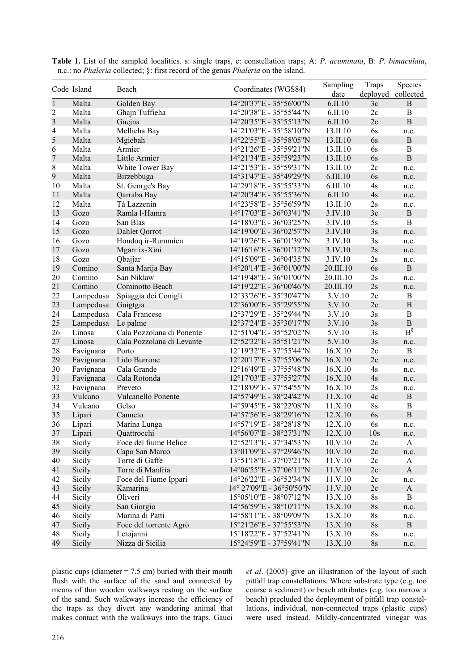|                         | Code Island | Beach                     |                          | Sampling  | Traps         | Species      |
|-------------------------|-------------|---------------------------|--------------------------|-----------|---------------|--------------|
|                         |             |                           | Coordinates (WGS84)      | date      | deployed      | collected    |
| $\mathbf{1}$            | Malta       | Golden Bay                | 14°20'37"E - 35°56'00"N  | 6.II.10   | 3c            | $\mathbf B$  |
| $\overline{c}$          | Malta       | Ghajn Tuffieha            | 14°20'38"E - 35°55'44"N  | 6.II.10   | 2c            | B            |
| $\overline{\mathbf{3}}$ | Malta       | Gnejna                    | 14°20'35"E - 35°55'13"N  | 6.II.10   | 2c            | $\, {\bf B}$ |
| 4                       | Malta       | Mellieha Bay              | 14°21'03"E - 35°58'10"N  | 13.II.10  | 6s            | n.c.         |
| 5                       | Malta       | Mgiebah                   | 14°22'55"E - 35°58'05"N  | 13.II.10  | 6s            | $\mathbf B$  |
| 6                       | Malta       | Armier                    | 14°21'26"E - 35°59'21"N  | 13.II.10  | 6s            | B            |
| $\sqrt{ }$              | Malta       | Little Armier             | 14°21'34"E - 35°59'23"N  | 13.II.10  | 6s            | $\, {\bf B}$ |
| $\,$ $\,$               | Malta       | White Tower Bay           | 14°21'53"E - 35°59'31"N  | 13.II.10  | 2c            | n.c.         |
| 9                       | Malta       | Birzebbuga                | 14°31'47"E - 35°49'29"N  | 6.III.10  | 6s            | n.c.         |
| 10                      | Malta       | St. George's Bay          | 14°29'18"E - 35°55'33"N  | 6.III.10  | 4s            | n.c.         |
| 11                      | Malta       | Qarraba Bay               | 14°20'34"E - 35°55'36"N  | 6.II.10   | 4s            | n.c.         |
| 12                      | Malta       | Tà Lazzenin               | 14°23'58"E - 35°56'59"N  | 13.II.10  | 2s            | n.c.         |
| 13                      | Gozo        | Ramla l-Hamra             | 14°17'03"E - 36°03'41"N  | 3.IV.10   | 3c            | $\, {\bf B}$ |
| 14                      | Gozo        | San Blas                  | 14°18'03"E - 36°03'25"N  | 3.IV.10   | 5s            | $\, {\bf B}$ |
| 15                      | Gozo        | Dahlet Qorrot             | 14°19'00"E - 36°02'57"N  | 3.IV.10   | 3s            | n.c.         |
| 16                      | Gozo        | Hondoq ir-Rummien         | 14°19'26"E - 36°01'39"N  | 3.IV.10   | 3s            | n.c.         |
| 17                      | Gozo        | Mgarr ix-Xini             | 14°16'16"E - 36°01'12"N  | 3.IV.10   | 2s            | n.c.         |
| 18                      | Gozo        | Qbajjar                   | 14°15'09"E - 36°04'35"N  | 3.IV.10   | 2s            | n.c.         |
| 19                      | Comino      | Santa Marija Bay          | 14°20'14"E - 36°01'00"N  | 20.III.10 | 6s            | $\mathbf B$  |
| 20                      | Comino      | San Niklaw                | 14°19'48"E - 36°01'00"N  | 20.III.10 | 2s            | n.c.         |
| 21                      | Comino      | Cominotto Beach           | 14°19'22"E - 36°00'46"N  | 20.III.10 | 2s            | n.c.         |
| 22                      | Lampedusa   | Spiaggia dei Conigli      | 12°33'26"E - 35°30'47"N  | 3.V.10    | 2c            | B            |
| 23                      | Lampedusa   | Guigtgia                  | 12°36'00"E - 35°29'55"N  | 3.V.10    | 2c            | $\, {\bf B}$ |
| 24                      | Lampedusa   | Cala Francese             | 12°37'29"E - 35°29'44"N  | 3.V.10    | 3s            | B            |
| 25                      | Lampedusa   | Le palme                  | 12°37'24"E - 35°30'17"N  | 3.V.10    | 3s            | $\, {\bf B}$ |
| 26                      | Linosa      | Cala Pozzolana di Ponente | 12°51'04"E - 35°52'02"N  | 5.V.10    | 3s            | $B_{\delta}$ |
| 27                      | Linosa      | Cala Pozzolana di Levante | 12°52'32"E - 35°51'21"N  | 5.V.10    | 3s            | n.c.         |
| 28                      | Favignana   | Porto                     | 12°19'32"E - 37°55'44"N  | 16.X.10   | 2c            | $\mathbf B$  |
| 29                      | Favignana   | Lido Burrone              | 12°20'17"E - 37°55'06"N  | 16.X.10   | 2c            | n.c.         |
| 30                      | Favignana   | Cala Grande               | 12°16'49"E - 37°55'48"N  | 16.X.10   | 4s            | n.c.         |
| 31                      | Favignana   | Cala Rotonda              | 12°17'03"E - 37°55'27"N  | 16.X.10   | 4s            | n.c.         |
| 32                      | Favignana   | Preveto                   | 12°18'09"E - 37°54'55"N  | 16.X.10   | 2s            | n.c.         |
| 33                      | Vulcano     | Vulcanello Ponente        | 14°57'49"E - 38°24'42"N  | 11.X.10   | 4c            | $\, {\bf B}$ |
| 34                      | Vulcano     | Gelso                     | 14°59'45"E - 38°22'08"N  | 11.X.10   | 8s            | $\, {\bf B}$ |
| 35                      | Lipari      | Canneto                   | 14°57'56"E - 38°29'16"N  | 12.X.10   | 6s            | $\, {\bf B}$ |
| 36                      | Lipari      | Marina Lunga              | 14°57'19"E - 38°28'18"N  | 12.X.10   | 6s            | n.c.         |
| 37                      | Lipari      | Quattrocchi               | 14°56'07"E - 38°27'31"N  | 12.X.10   | 10s           | n.c.         |
| 38                      | Sicily      | Foce del fiume Belice     | 12°52'13"E - 37°34'53"N  | 10.V.10   | 2c            | A            |
| 39                      | Sicily      | Capo San Marco            | 13°01'09"E - 37°29'46"N  | 10.V.10   | $2\mathrm{c}$ | n.c.         |
| 40                      | Sicily      | Torre di Gaffe            | 13°51'18"E - 37°07'21"N  | 11.V.10   | 2c            | A            |
| 41                      | Sicily      | Torre di Manfria          | 14°06'55"E - 37°06'11"N  | 11.V.10   | 2c            | $\mathbf{A}$ |
| 42                      | Sicily      | Foce del Fiume Ippari     | 14°26'22"E - 36°52'34"N  | 11.V.10   | 2c            | n.c.         |
| 43                      | Sicily      | Kamarina                  | 14° 27'09"E - 36°50'50"N | 11.V.10   | 2c            | $\mathbf A$  |
| 44                      | Sicily      | Oliveri                   | 15°05'10"E - 38°07'12"N  | 13.X.10   | 8s            | B            |
| 45                      | Sicily      | San Giorgio               | 14°56'59"E - 38°10'11"N  | 13.X.10   | 8s            | n.c.         |
| 46                      | Sicily      | Marina di Patti           | 14°58'11"E - 38°09'09"N  | 13.X.10   | 8s            | n.c.         |
| 47                      | Sicily      | Foce del torrente Agrò    | 15°21'26"E - 37°55'53"N  | 13.X.10   | 8s            | $\mathbf B$  |
| 48<br>49                | Sicily      | Letojanni                 | 15°18'22"E - 37°52'41"N  | 13.X.10   | <b>8s</b>     | n.c.         |
|                         | Sicily      | Nizza di Sicilia          | 15°24'59"E - 37°59'41"N  | 13.X.10   | 8s            | n.c.         |

**Table 1.** List of the sampled localities. s: single traps, c: constellation traps; A: *P. acuminata*, B: *P. bimaculata*, n.c.: no *Phaleria* collected; §: first record of the genus *Phaleria* on the island.

plastic cups (diameter  $= 7.5$  cm) buried with their mouth flush with the surface of the sand and connected by means of thin wooden walkways resting on the surface of the sand. Such walkways increase the efficiency of the traps as they divert any wandering animal that makes contact with the walkways into the traps. Gauci

*et al*. (2005) give an illustration of the layout of such pitfall trap constellations. Where substrate type (e.g. too coarse a sediment) or beach attributes (e.g. too narrow a beach) precluded the deployment of pitfall trap constellations, individual, non-connected traps (plastic cups) were used instead. Mildly-concentrated vinegar was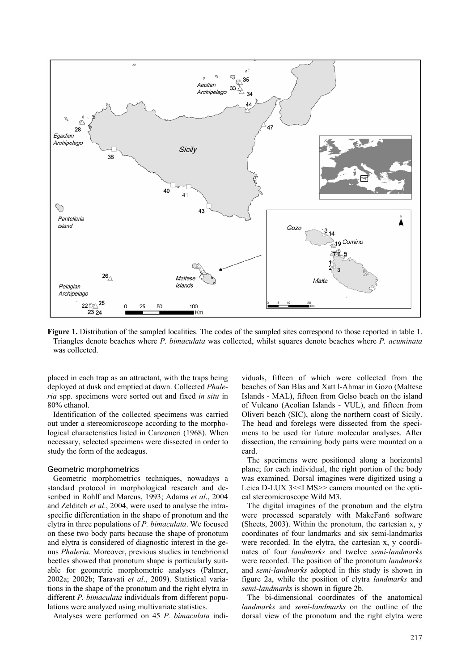

**Figure 1.** Distribution of the sampled localities. The codes of the sampled sites correspond to those reported in table 1. Triangles denote beaches where *P. bimaculata* was collected, whilst squares denote beaches where *P. acuminata* was collected.

placed in each trap as an attractant, with the traps being deployed at dusk and emptied at dawn. Collected *Phaleria* spp. specimens were sorted out and fixed *in situ* in 80% ethanol.

Identification of the collected specimens was carried out under a stereomicroscope according to the morphological characteristics listed in Canzoneri (1968). When necessary, selected specimens were dissected in order to study the form of the aedeagus.

#### Geometric morphometrics

Geometric morphometrics techniques, nowadays a standard protocol in morphological research and described in Rohlf and Marcus, 1993; Adams *et al*., 2004 and Zelditch *et al*., 2004, were used to analyse the intraspecific differentiation in the shape of pronotum and the elytra in three populations of *P. bimaculata*. We focused on these two body parts because the shape of pronotum and elytra is considered of diagnostic interest in the genus *Phaleria*. Moreover, previous studies in tenebrionid beetles showed that pronotum shape is particularly suitable for geometric morphometric analyses (Palmer, 2002a; 2002b; Taravati *et al*., 2009). Statistical variations in the shape of the pronotum and the right elytra in different *P. bimaculata* individuals from different populations were analyzed using multivariate statistics.

Analyses were performed on 45 *P. bimaculata* indi-

viduals, fifteen of which were collected from the beaches of San Blas and Xatt l-Ahmar in Gozo (Maltese Islands - MAL), fifteen from Gelso beach on the island of Vulcano (Aeolian Islands - VUL), and fifteen from Oliveri beach (SIC), along the northern coast of Sicily. The head and forelegs were dissected from the specimens to be used for future molecular analyses. After dissection, the remaining body parts were mounted on a card.

The specimens were positioned along a horizontal plane; for each individual, the right portion of the body was examined. Dorsal imagines were digitized using a Leica D-LUX 3<<LMS>> camera mounted on the optical stereomicroscope Wild M3.

The digital imagines of the pronotum and the elytra were processed separately with MakeFan6 software (Sheets, 2003). Within the pronotum, the cartesian x, y coordinates of four landmarks and six semi-landmarks were recorded. In the elytra, the cartesian x, y coordinates of four *landmarks* and twelve *semi-landmarks* were recorded. The position of the pronotum *landmarks* and *semi-landmarks* adopted in this study is shown in figure 2a, while the position of elytra *landmarks* and *semi-landmarks* is shown in figure 2b.

The bi-dimensional coordinates of the anatomical *landmarks* and *semi-landmarks* on the outline of the dorsal view of the pronotum and the right elytra were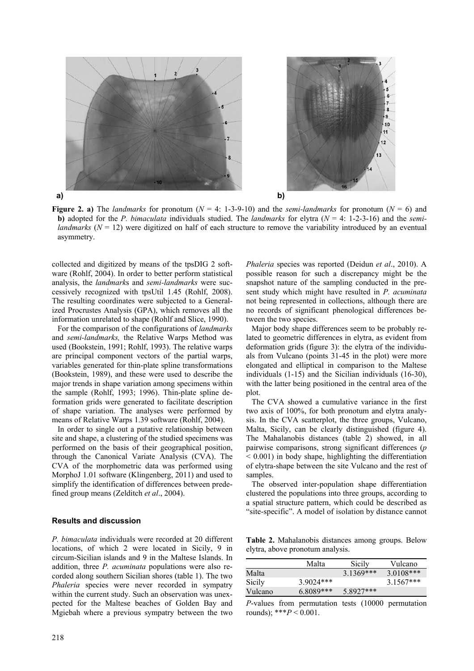

**Figure 2. a)** The *landmarks* for pronotum ( $N = 4$ : 1-3-9-10) and the *semi-landmarks* for pronotum ( $N = 6$ ) and **b**) adopted for the *P. bimaculata* individuals studied. The *landmarks* for elytra  $(N = 4: 1-2-3-16)$  and the *semilandmarks* ( $N = 12$ ) were digitized on half of each structure to remove the variability introduced by an eventual asymmetry.

collected and digitized by means of the tpsDIG 2 software (Rohlf, 2004). In order to better perform statistical analysis, the *landmark*s and *semi-landmarks* were successively recognized with tpsUtil 1.45 (Rohlf, 2008). The resulting coordinates were subjected to a Generalized Procrustes Analysis (GPA), which removes all the information unrelated to shape (Rohlf and Slice, 1990).

For the comparison of the configurations of *landmarks* and *semi-landmarks,* the Relative Warps Method was used (Bookstein, 1991; Rohlf, 1993). The relative warps are principal component vectors of the partial warps, variables generated for thin-plate spline transformations (Bookstein, 1989), and these were used to describe the major trends in shape variation among specimens within the sample (Rohlf, 1993; 1996). Thin-plate spline deformation grids were generated to facilitate description of shape variation. The analyses were performed by means of Relative Warps 1.39 software (Rohlf, 2004).

In order to single out a putative relationship between site and shape, a clustering of the studied specimens was performed on the basis of their geographical position, through the Canonical Variate Analysis (CVA). The CVA of the morphometric data was performed using MorphoJ 1.01 software (Klingenberg, 2011) and used to simplify the identification of differences between predefined group means (Zelditch *et al*., 2004).

# **Results and discussion**

*P. bimaculata* individuals were recorded at 20 different locations, of which 2 were located in Sicily, 9 in circum-Sicilian islands and 9 in the Maltese Islands. In addition, three *P. acuminata* populations were also recorded along southern Sicilian shores (table 1). The two *Phaleria* species were never recorded in sympatry within the current study. Such an observation was unexpected for the Maltese beaches of Golden Bay and Mgiebah where a previous sympatry between the two *Phaleria* species was reported (Deidun *et al*., 2010). A possible reason for such a discrepancy might be the snapshot nature of the sampling conducted in the present study which might have resulted in *P. acuminata* not being represented in collections, although there are no records of significant phenological differences between the two species.

Major body shape differences seem to be probably related to geometric differences in elytra, as evident from deformation grids (figure 3): the elytra of the individuals from Vulcano (points 31-45 in the plot) were more elongated and elliptical in comparison to the Maltese individuals (1-15) and the Sicilian individuals (16-30), with the latter being positioned in the central area of the plot.

The CVA showed a cumulative variance in the first two axis of 100%, for both pronotum and elytra analysis. In the CVA scatterplot, the three groups, Vulcano, Malta, Sicily, can be clearly distinguished (figure 4). The Mahalanobis distances (table 2) showed, in all pairwise comparisons, strong significant differences (*p*  < 0.001) in body shape, highlighting the differentiation of elytra-shape between the site Vulcano and the rest of samples.

The observed inter-population shape differentiation clustered the populations into three groups, according to a spatial structure pattern, which could be described as "site-specific". A model of isolation by distance cannot

**Table 2.** Mahalanobis distances among groups. Below elytra, above pronotum analysis.

|         | Malta       | Sicily      | Vulcano      |
|---------|-------------|-------------|--------------|
| Malta   |             | $3.1369***$ | $3.0108$ *** |
| Sicily  | $3.9024***$ |             | $3.1567***$  |
| Vulcano | $6.8089***$ | 5.8927***   |              |
|         |             |             |              |

*P*-values from permutation tests (10000 permutation rounds);  $**P < 0.001$ .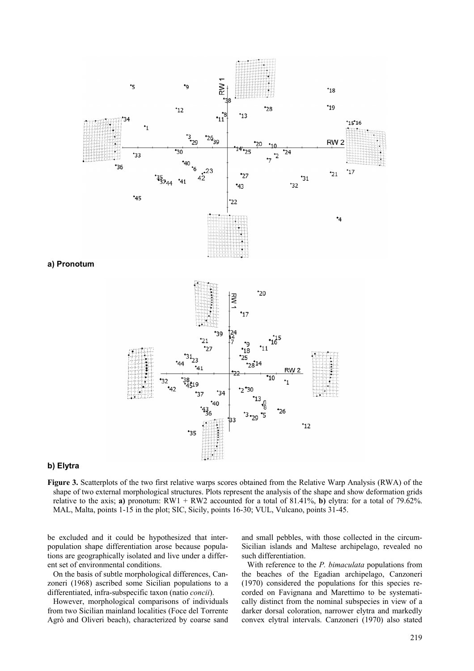

# **b) Elytra**

**Figure 3.** Scatterplots of the two first relative warps scores obtained from the Relative Warp Analysis (RWA) of the shape of two external morphological structures. Plots represent the analysis of the shape and show deformation grids relative to the axis; **a)** pronotum:  $RW1 + RW2$  accounted for a total of 81.41%, **b)** elytra: for a total of 79.62%. MAL, Malta, points 1-15 in the plot; SIC, Sicily, points 16-30; VUL, Vulcano, points 31-45.

be excluded and it could be hypothesized that interpopulation shape differentiation arose because populations are geographically isolated and live under a different set of environmental conditions.

On the basis of subtle morphological differences, Canzoneri (1968) ascribed some Sicilian populations to a differentiated, infra-subspecific taxon (natio *concii*).

However, morphological comparisons of individuals from two Sicilian mainland localities (Foce del Torrente Agrò and Oliveri beach), characterized by coarse sand and small pebbles, with those collected in the circum-Sicilian islands and Maltese archipelago, revealed no such differentiation.

With reference to the *P. bimaculata* populations from the beaches of the Egadian archipelago, Canzoneri (1970) considered the populations for this species recorded on Favignana and Marettimo to be systematically distinct from the nominal subspecies in view of a darker dorsal coloration, narrower elytra and markedly convex elytral intervals. Canzoneri (1970) also stated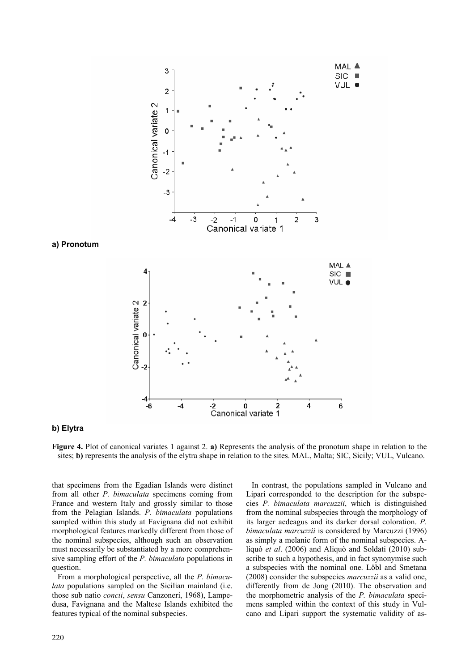

# **b) Elytra**

**Figure 4.** Plot of canonical variates 1 against 2. **a)** Represents the analysis of the pronotum shape in relation to the sites; **b)** represents the analysis of the elytra shape in relation to the sites. MAL, Malta; SIC, Sicily; VUL, Vulcano.

that specimens from the Egadian Islands were distinct from all other *P. bimaculata* specimens coming from France and western Italy and grossly similar to those from the Pelagian Islands. *P. bimaculata* populations sampled within this study at Favignana did not exhibit morphological features markedly different from those of the nominal subspecies, although such an observation must necessarily be substantiated by a more comprehensive sampling effort of the *P. bimaculata* populations in question.

From a morphological perspective, all the *P. bimaculata* populations sampled on the Sicilian mainland (i.e. those sub natio *concii*, *sensu* Canzoneri, 1968), Lampedusa, Favignana and the Maltese Islands exhibited the features typical of the nominal subspecies.

In contrast, the populations sampled in Vulcano and Lipari corresponded to the description for the subspecies *P. bimaculata marcuzzii*, which is distinguished from the nominal subspecies through the morphology of its larger aedeagus and its darker dorsal coloration. *P. bimaculata marcuzzii* is considered by Marcuzzi (1996) as simply a melanic form of the nominal subspecies. Aliquò *et al*. (2006) and Aliquò and Soldati (2010) subscribe to such a hypothesis, and in fact synonymise such a subspecies with the nominal one. Löbl and Smetana (2008) consider the subspecies *marcuzzii* as a valid one, differently from de Jong (2010). The observation and the morphometric analysis of the *P. bimaculata* specimens sampled within the context of this study in Vulcano and Lipari support the systematic validity of as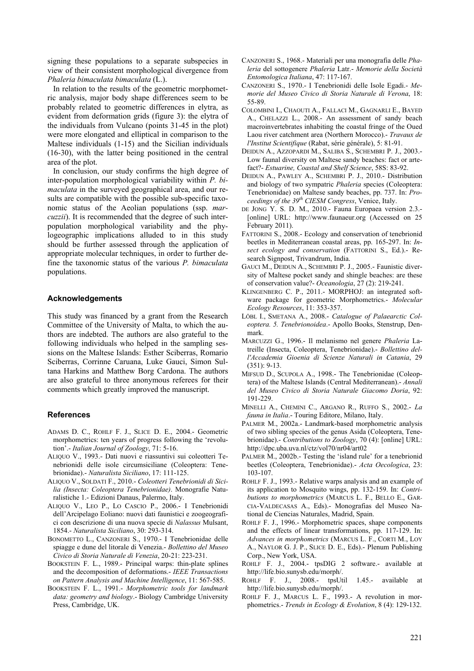signing these populations to a separate subspecies in view of their consistent morphological divergence from *Phaleria bimaculata bimaculata* (L.).

In relation to the results of the geometric morphometric analysis, major body shape differences seem to be probably related to geometric differences in elytra, as evident from deformation grids (figure 3): the elytra of the individuals from Vulcano (points 31-45 in the plot) were more elongated and elliptical in comparison to the Maltese individuals (1-15) and the Sicilian individuals (16-30), with the latter being positioned in the central area of the plot.

In conclusion, our study confirms the high degree of inter-population morphological variability within *P. bimaculata* in the surveyed geographical area, and our results are compatible with the possible sub-specific taxonomic status of the Aeolian populations (ssp. *marcuzzii*). It is recommended that the degree of such interpopulation morphological variability and the phylogeographic implications alluded to in this study should be further assessed through the application of appropriate molecular techniques, in order to further define the taxonomic status of the various *P. bimaculata*  populations.

### **Acknowledgements**

This study was financed by a grant from the Research Committee of the University of Malta, to which the authors are indebted. The authors are also grateful to the following individuals who helped in the sampling sessions on the Maltese Islands: Esther Sciberras, Romario Sciberras, Corrinne Caruana, Luke Gauci, Simon Sultana Harkins and Matthew Borg Cardona. The authors are also grateful to three anonymous referees for their comments which greatly improved the manuscript.

# **References**

- ADAMS D. C., ROHLF F. J., SLICE D. E., 2004.- Geometric morphometrics: ten years of progress following the 'revolution'.- *Italian Journal of Zoology*, 71: 5-16.
- ALIQUO V., 1993.- Dati nuovi e riassuntivi sui coleotteri Tenebrionidi delle isole circumsiciliane (Coleoptera: Tenebrionidae).- *Naturalista Siciliano*, 17: 111-125.
- ALIQUO V., SOLDATI F., 2010.- *Coleotteri Tenebrionidi di Sicilia (Insecta: Coleoptera Tenebrionidae)*. Monografie Naturalistiche 1.- Edizioni Danaus, Palermo, Italy.
- ALIQUO V., LEO P., LO CASCIO P., 2006.- I Tenebrionidi dell'Arcipelago Eoliano: nuovi dati faunistici e zoogeografici con descrizione di una nuova specie di *Nalassus* Mulsant, 1854.- *Naturalista Siciliano*, 30: 293-314.
- BONOMETTO L., CANZONERI S., 1970.- I Tenebrionidae delle spiagge e dune del litorale di Venezia.- *Bollettino del Museo Civico di Storia Naturale di Venezia*, 20-21: 223-231.
- BOOKSTEIN F. L., 1989.- Principal warps: thin-plate splines and the decomposition of deformations.- *IEEE Transactions on Pattern Analysis and Machine Intelligence*, 11: 567-585.
- BOOKSTEIN F. L., 1991.- *Morphometric tools for landmark data: geometry and biology*.- Biology Cambridge University Press, Cambridge, UK.
- CANZONERI S., 1968.- Materiali per una monografia delle *Phaleria* del sottogenere *Phaleria* Latr.- *Memorie della Società Entomologica Italiana*, 47: 117-167.
- CANZONERI S., 1970.- I Tenebrionidi delle Isole Egadi.- *Memorie del Museo Civico di Storia Naturale di Verona*, 18: 55-89.
- COLOMBINI I., CHAOUTI A., FALLACI M., GAGNARLI E., BAYED A., CHELAZZI L., 2008.- An assessment of sandy beach macroinvertebrates inhabiting the coastal fringe of the Oued Laou river catchment area (Northern Morocco).- *Travaux de l'Institut Scientifique* (Rabat, série générale), 5: 81-91.
- DEIDUN A., AZZOPARDI M., SALIBA S., SCHEMBRI P. J., 2003.- Low faunal diversity on Maltese sandy beaches: fact or artefact?- *Estuarine, Coastal and Shelf Science*, 58S: 83-92.
- DEIDUN A., PAWLEY A., SCHEMBRI P. J., 2010.- Distribution and biology of two sympatric *Phaleria* species (Coleoptera: Tenebrionidae) on Maltese sandy beaches, pp. 737. In: *Proceedings of the 39th CIESM Congress*, Venice, Italy.
- DE JONG Y. S. D. M., 2010.- Fauna Europaea version 2.3.- [online] URL: http://www.faunaeur.org (Accessed on 25 February 2011).
- FATTORINI S., 2008.- Ecology and conservation of tenebrionid beetles in Mediterranean coastal areas, pp. 165-297. In: *Insect ecology and conservation* (FATTORINI S., Ed.).- Research Signpost, Trivandrum, India.
- GAUCI M., DEIDUN A., SCHEMBRI P. J., 2005.- Faunistic diversity of Maltese pocket sandy and shingle beaches: are these of conservation value?- *Oceanologia*, 27 (2): 219-241.
- KLINGENBERG C. P., 2011.- MORPHOJ: an integrated software package for geometric Morphometrics.- *Molecular Ecology Resources*, 11: 353-357.
- LÖBL I., SMETANA A., 2008.- *Catalogue of Palaearctic Coleoptera. 5. Tenebrionoidea*.- Apollo Books, Stenstrup, Denmark.
- MARCUZZI G., 1996.- Il melanismo nel genere *Phaleria* Latreille (Insecta, Coleoptera, Tenebrionidae).- *Bollettino dell'Accademia Gioenia di Scienze Naturali in Catania*, 29 (351): 9-13.
- MIFSUD D., SCUPOLA A., 1998.- The Tenebrionidae (Coleoptera) of the Maltese Islands (Central Mediterranean).- *Annali del Museo Civico di Storia Naturale Giacomo Doria*, 92: 191-229.
- MINELLI A., CHEMINI C., ARGANO R., RUFFO S., 2002.- *La fauna in Italia*.- Touring Editore, Milano, Italy.
- PALMER M., 2002a.- Landmark-based morphometric analysis of two sibling species of the genus Asida (Coleoptera, Tenebrionidae).- *Contributions to Zoology*, 70 (4): [online] URL: http://dpc.uba.uva.nl/ctz/vol70/nr04/art02
- PALMER M., 2002b.- Testing the 'island rule' for a tenebrionid beetles (Coleoptera, Tenebrionidae).- *Acta Oecologica*, 23: 103-107.
- ROHLF F. J., 1993.- Relative warps analysis and an example of its application to Mosquito wings, pp. 132-159. In: *Contributions to morphometrics* (MARCUS L. F., BELLO E., GAR-CIA-VALDECASAS A., Eds).- Monografias del Museo National de Ciencias Naturales, Madrid, Spain.
- ROHLF F. J., 1996.- Morphometric spaces, shape components and the effects of linear transformations, pp. 117-129. In: *Advances in morphometrics* (MARCUS L. F., CORTI M., LOY A., NAYLOR G. J. P., SLICE D. E., Eds).- Plenum Publishing Corp., New York, USA.
- ROHLF F. J., 2004.- tpsDIG 2 software.- available at http://life.bio.sunysb.edu/morph/.
- ROHLF F. J., 2008.- tpsUtil 1.45.- available at http://life.bio.sunysb.edu/morph/.
- ROHLF F. J., MARCUS L. F., 1993.- A revolution in morphometrics.- *Trends in Ecology & Evolution*, 8 (4): 129-132.